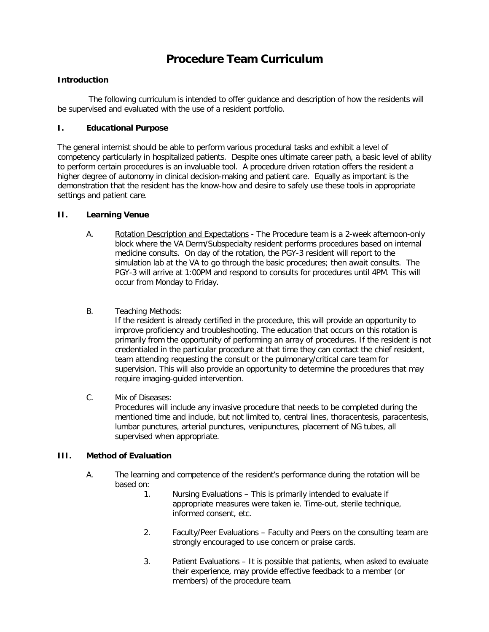# **Procedure Team Curriculum**

## **Introduction**

The following curriculum is intended to offer guidance and description of how the residents will be supervised and evaluated with the use of a resident portfolio.

## **I. Educational Purpose**

The general internist should be able to perform various procedural tasks and exhibit a level of competency particularly in hospitalized patients. Despite ones ultimate career path, a basic level of ability to perform certain procedures is an invaluable tool. A procedure driven rotation offers the resident a higher degree of autonomy in clinical decision-making and patient care. Equally as important is the demonstration that the resident has the know-how and desire to safely use these tools in appropriate settings and patient care.

## **II. Learning Venue**

- A. Rotation Description and Expectations The Procedure team is a 2-week afternoon-only block where the VA Derm/Subspecialty resident performs procedures based on internal medicine consults. On day of the rotation, the PGY-3 resident will report to the simulation lab at the VA to go through the basic procedures; then await consults. The PGY-3 will arrive at 1:00PM and respond to consults for procedures until 4PM. This will occur from Monday to Friday.
- B. Teaching Methods:

If the resident is already certified in the procedure, this will provide an opportunity to improve proficiency and troubleshooting. The education that occurs on this rotation is primarily from the opportunity of performing an array of procedures. If the resident is not credentialed in the particular procedure at that time they can contact the chief resident, team attending requesting the consult or the pulmonary/critical care team for supervision. This will also provide an opportunity to determine the procedures that may require imaging-guided intervention.

C. Mix of Diseases:

Procedures will include any invasive procedure that needs to be completed during the mentioned time and include, but not limited to, central lines, thoracentesis, paracentesis, lumbar punctures, arterial punctures, venipunctures, placement of NG tubes, all supervised when appropriate.

## **III. Method of Evaluation**

- A. The learning and competence of the resident's performance during the rotation will be based on:
	- 1. Nursing Evaluations This is primarily intended to evaluate if appropriate measures were taken ie. Time-out, sterile technique, informed consent, etc.
	- 2. Faculty/Peer Evaluations Faculty and Peers on the consulting team are strongly encouraged to use concern or praise cards.
	- 3. Patient Evaluations It is possible that patients, when asked to evaluate their experience, may provide effective feedback to a member (or members) of the procedure team.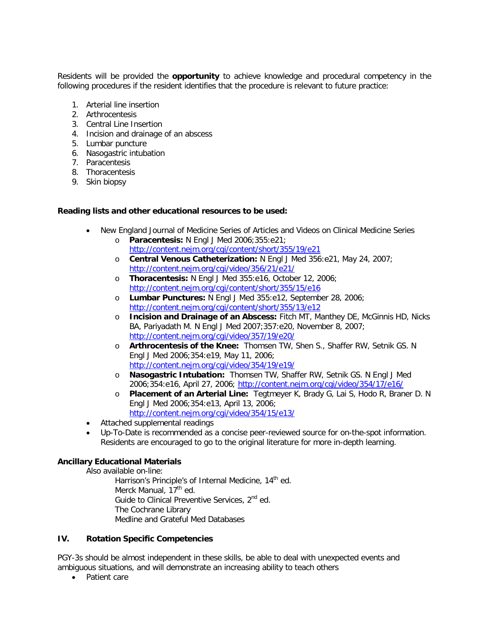Residents will be provided the **opportunity** to achieve knowledge and procedural competency in the following procedures if the resident identifies that the procedure is relevant to future practice:

- 1. Arterial line insertion
- 2. Arthrocentesis
- 3. Central Line Insertion
- 4. Incision and drainage of an abscess
- 5. Lumbar puncture
- 6. Nasogastric intubation
- 7. Paracentesis
- 8. Thoracentesis
- 9. Skin biopsy

#### **Reading lists and other educational resources to be used:**

- New England Journal of Medicine Series of Articles and Videos on Clinical Medicine Series
	- o **Paracentesis:** N Engl J Med 2006;355:e21; <http://content.nejm.org/cgi/content/short/355/19/e21>
	- o **Central Venous Catheterization:** N Engl J Med 356:e21, May 24, 2007; <http://content.nejm.org/cgi/video/356/21/e21/>
	- o **Thoracentesis:** N Engl J Med 355:e16, October 12, 2006; <http://content.nejm.org/cgi/content/short/355/15/e16>
	- o **Lumbar Punctures:** N Engl J Med 355:e12, September 28, 2006; <http://content.nejm.org/cgi/content/short/355/13/e12>
	- o **Incision and Drainage of an Abscess:** Fitch MT, Manthey DE, McGinnis HD, Nicks BA, Pariyadath M. N Engl J Med 2007;357:e20, November 8, 2007; <http://content.nejm.org/cgi/video/357/19/e20/>
	- o **Arthrocentesis of the Knee:** Thomsen TW, Shen S., Shaffer RW, Setnik GS. N Engl J Med 2006;354:e19, May 11, 2006; <http://content.nejm.org/cgi/video/354/19/e19/>
	- o **Nasogastric Intubation:** Thomsen TW, Shaffer RW, Setnik GS. N Engl J Med 2006;354:e16, April 27, 2006;<http://content.nejm.org/cgi/video/354/17/e16/>
	- o **Placement of an Arterial Line:** Tegtmeyer K, Brady G, Lai S, Hodo R, Braner D. N Engl J Med 2006;354:e13, April 13, 2006; <http://content.nejm.org/cgi/video/354/15/e13/>
- Attached supplemental readings
- Up-To-Date is recommended as a concise peer-reviewed source for on-the-spot information. Residents are encouraged to go to the original literature for more in-depth learning.

#### **Ancillary Educational Materials**

Also available on-line:

Harrison's Principle's of Internal Medicine, 14<sup>th</sup> ed. Merck Manual, 17<sup>th</sup> ed. Guide to Clinical Preventive Services, 2<sup>nd</sup> ed. The Cochrane Library Medline and Grateful Med Databases

#### **IV. Rotation Specific Competencies**

PGY-3s should be almost independent in these skills, be able to deal with unexpected events and ambiguous situations, and will demonstrate an increasing ability to teach others

• Patient care